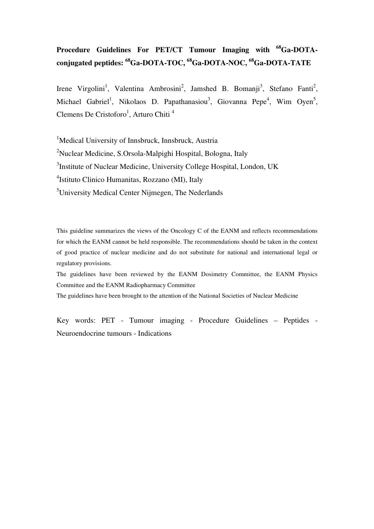# **Procedure Guidelines For PET/CT Tumour Imaging with <sup>68</sup>Ga-DOTAconjugated peptides: <sup>68</sup>Ga-DOTA-TOC, <sup>68</sup>Ga-DOTA-NOC, <sup>68</sup>Ga-DOTA-TATE**

Irene Virgolini<sup>1</sup>, Valentina Ambrosini<sup>2</sup>, Jamshed B. Bomanji<sup>3</sup>, Stefano Fanti<sup>2</sup>, Michael Gabriel<sup>1</sup>, Nikolaos D. Papathanasiou<sup>3</sup>, Giovanna Pepe<sup>4</sup>, Wim Oyen<sup>5</sup>, Clemens De Cristoforo<sup>1</sup>, Arturo Chiti<sup>4</sup>

<sup>1</sup>Medical University of Innsbruck, Innsbruck, Austria <sup>2</sup>Nuclear Medicine, S.Orsola-Malpighi Hospital, Bologna, Italy <sup>3</sup>Institute of Nuclear Medicine, University College Hospital, London, UK 4 Istituto Clinico Humanitas, Rozzano (MI), Italy <sup>5</sup>University Medical Center Nijmegen, The Nederlands

This guideline summarizes the views of the Oncology C of the EANM and reflects recommendations for which the EANM cannot be held responsible. The recommendations should be taken in the context of good practice of nuclear medicine and do not substitute for national and international legal or regulatory provisions.

The guidelines have been reviewed by the EANM Dosimetry Committee, the EANM Physics Committee and the EANM Radiopharmacy Committee

The guidelines have been brought to the attention of the National Societies of Nuclear Medicine

Key words: PET - Tumour imaging - Procedure Guidelines – Peptides - Neuroendocrine tumours - Indications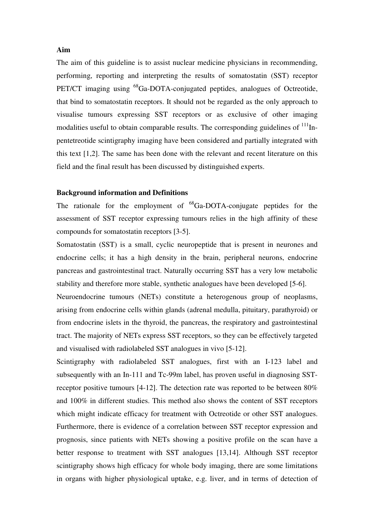### **Aim**

The aim of this guideline is to assist nuclear medicine physicians in recommending, performing, reporting and interpreting the results of somatostatin (SST) receptor PET/CT imaging using <sup>68</sup>Ga-DOTA-conjugated peptides, analogues of Octreotide, that bind to somatostatin receptors. It should not be regarded as the only approach to visualise tumours expressing SST receptors or as exclusive of other imaging modalities useful to obtain comparable results. The corresponding guidelines of  $\frac{111}{1}$ Inpentetreotide scintigraphy imaging have been considered and partially integrated with this text [1,2]. The same has been done with the relevant and recent literature on this field and the final result has been discussed by distinguished experts.

### **Background information and Definitions**

The rationale for the employment of  ${}^{68}$ Ga-DOTA-conjugate peptides for the assessment of SST receptor expressing tumours relies in the high affinity of these compounds for somatostatin receptors [3-5].

Somatostatin (SST) is a small, cyclic neuropeptide that is present in neurones and endocrine cells; it has a high density in the brain, peripheral neurons, endocrine pancreas and gastrointestinal tract. Naturally occurring SST has a very low metabolic stability and therefore more stable, synthetic analogues have been developed [5-6].

Neuroendocrine tumours (NETs) constitute a heterogenous group of neoplasms, arising from endocrine cells within glands (adrenal medulla, pituitary, parathyroid) or from endocrine islets in the thyroid, the pancreas, the respiratory and gastrointestinal tract. The majority of NETs express SST receptors, so they can be effectively targeted and visualised with radiolabeled SST analogues in vivo [5-12].

Scintigraphy with radiolabeled SST analogues, first with an I-123 label and subsequently with an In-111 and Tc-99m label, has proven useful in diagnosing SSTreceptor positive tumours [4-12]. The detection rate was reported to be between 80% and 100% in different studies. This method also shows the content of SST receptors which might indicate efficacy for treatment with Octreotide or other SST analogues. Furthermore, there is evidence of a correlation between SST receptor expression and prognosis, since patients with NETs showing a positive profile on the scan have a better response to treatment with SST analogues [13,14]. Although SST receptor scintigraphy shows high efficacy for whole body imaging, there are some limitations in organs with higher physiological uptake, e.g. liver, and in terms of detection of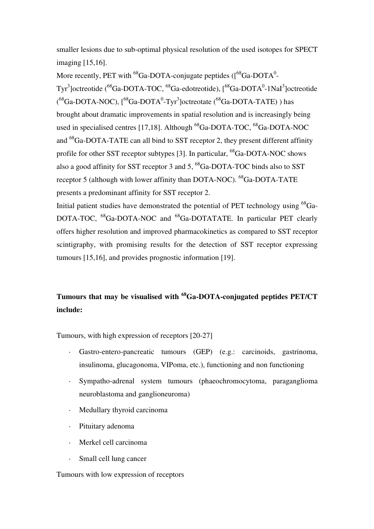smaller lesions due to sub-optimal physical resolution of the used isotopes for SPECT imaging [15,16].

More recently, PET with  $^{68}$ Ga-DOTA-conjugate peptides ([ $^{68}$ Ga-DOTA<sup>0</sup>-Tyr<sup>3</sup>]octreotide (<sup>68</sup>Ga-DOTA-TOC, <sup>68</sup>Ga-edotreotide), [<sup>68</sup>Ga-DOTA<sup>0</sup>-1NaI<sup>3</sup>]octreotide  $(^{68}Ga$ -DOTA-NOC),  $[^{68}Ga$ -DOTA<sup>0</sup>-Tyr<sup>3</sup>]octreotate  $(^{68}Ga$ -DOTA-TATE)) has brought about dramatic improvements in spatial resolution and is increasingly being used in specialised centres [17,18]. Although  $^{68}$ Ga-DOTA-TOC,  $^{68}$ Ga-DOTA-NOC and <sup>68</sup>Ga-DOTA-TATE can all bind to SST receptor 2, they present different affinity profile for other SST receptor subtypes [3]. In particular, <sup>68</sup>Ga-DOTA-NOC shows also a good affinity for SST receptor 3 and 5,  $^{68}$ Ga-DOTA-TOC binds also to SST receptor 5 (although with lower affinity than DOTA-NOC). <sup>68</sup>Ga-DOTA-TATE presents a predominant affinity for SST receptor 2.

Initial patient studies have demonstrated the potential of PET technology using  $^{68}Ga-$ DOTA-TOC, <sup>68</sup>Ga-DOTA-NOC and <sup>68</sup>Ga-DOTATATE. In particular PET clearly offers higher resolution and improved pharmacokinetics as compared to SST receptor scintigraphy, with promising results for the detection of SST receptor expressing tumours [15,16], and provides prognostic information [19].

# **Tumours that may be visualised with <sup>68</sup>Ga-DOTA-conjugated peptides PET/CT include:**

Tumours, with high expression of receptors [20-27]

- Gastro-entero-pancreatic tumours (GEP) (e.g.: carcinoids, gastrinoma, insulinoma, glucagonoma, VIPoma, etc.), functioning and non functioning
- Sympatho-adrenal system tumours (phaeochromocytoma, paraganglioma neuroblastoma and ganglioneuroma)
- · Medullary thyroid carcinoma
- Pituitary adenoma
- Merkel cell carcinoma
- Small cell lung cancer

### Tumours with low expression of receptors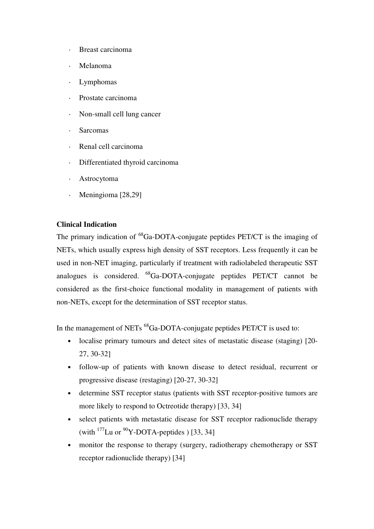- Breast carcinoma
- · Melanoma
- Lymphomas
- Prostate carcinoma
- · Non-small cell lung cancer
- Sarcomas
- Renal cell carcinoma
- · Differentiated thyroid carcinoma
- **Astrocytoma**
- Meningioma [28,29]

## **Clinical Indication**

The primary indication of  ${}^{68}Ga$ -DOTA-conjugate peptides PET/CT is the imaging of NETs, which usually express high density of SST receptors. Less frequently it can be used in non-NET imaging, particularly if treatment with radiolabeled therapeutic SST analogues is considered. <sup>68</sup>Ga-DOTA-conjugate peptides PET/CT cannot be considered as the first-choice functional modality in management of patients with non-NETs, except for the determination of SST receptor status.

In the management of NETs <sup>68</sup>Ga-DOTA-conjugate peptides PET/CT is used to:

- localise primary tumours and detect sites of metastatic disease (staging) [20- 27, 30-32]
- follow-up of patients with known disease to detect residual, recurrent or progressive disease (restaging) [20-27, 30-32]
- determine SST receptor status (patients with SST receptor-positive tumors are more likely to respond to Octreotide therapy) [33, 34]
- select patients with metastatic disease for SST receptor radionuclide therapy (with  $^{177}$ Lu or  $^{90}$ Y-DOTA-peptides ) [33, 34]
- monitor the response to therapy (surgery, radiotherapy chemotherapy or SST) receptor radionuclide therapy) [34]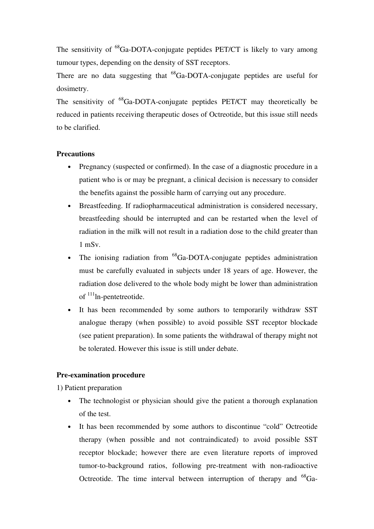The sensitivity of  ${}^{68}Ga$ -DOTA-conjugate peptides PET/CT is likely to vary among tumour types, depending on the density of SST receptors.

There are no data suggesting that  $^{68}Ga$ -DOTA-conjugate peptides are useful for dosimetry.

The sensitivity of <sup>68</sup>Ga-DOTA-conjugate peptides PET/CT may theoretically be reduced in patients receiving therapeutic doses of Octreotide, but this issue still needs to be clarified.

## **Precautions**

- Pregnancy (suspected or confirmed). In the case of a diagnostic procedure in a patient who is or may be pregnant, a clinical decision is necessary to consider the benefits against the possible harm of carrying out any procedure.
- Breastfeeding. If radiopharmaceutical administration is considered necessary, breastfeeding should be interrupted and can be restarted when the level of radiation in the milk will not result in a radiation dose to the child greater than 1 mSv.
- The ionising radiation from  ${}^{68}Ga$ -DOTA-conjugate peptides administration must be carefully evaluated in subjects under 18 years of age. However, the radiation dose delivered to the whole body might be lower than administration of  $111$ <sup>In-pentetreotide.</sup>
- It has been recommended by some authors to temporarily withdraw SST analogue therapy (when possible) to avoid possible SST receptor blockade (see patient preparation). In some patients the withdrawal of therapy might not be tolerated. However this issue is still under debate.

## **Pre-examination procedure**

1) Patient preparation

- The technologist or physician should give the patient a thorough explanation of the test.
- It has been recommended by some authors to discontinue "cold" Octreotide therapy (when possible and not contraindicated) to avoid possible SST receptor blockade; however there are even literature reports of improved tumor-to-background ratios, following pre-treatment with non-radioactive Octreotide. The time interval between interruption of therapy and  ${}^{68}Ga-$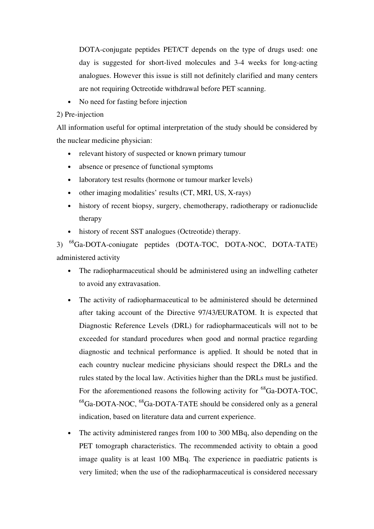DOTA-conjugate peptides PET/CT depends on the type of drugs used: one day is suggested for short-lived molecules and 3-4 weeks for long-acting analogues. However this issue is still not definitely clarified and many centers are not requiring Octreotide withdrawal before PET scanning.

• No need for fasting before injection

### 2) Pre-injection

All information useful for optimal interpretation of the study should be considered by the nuclear medicine physician:

- relevant history of suspected or known primary tumour
- absence or presence of functional symptoms
- laboratory test results (hormone or tumour marker levels)
- other imaging modalities' results (CT, MRI, US, X-rays)
- history of recent biopsy, surgery, chemotherapy, radiotherapy or radionuclide therapy
- history of recent SST analogues (Octreotide) therapy.

3) <sup>68</sup>Ga-DOTA-coniugate peptides (DOTA-TOC, DOTA-NOC, DOTA-TATE) administered activity

- The radiopharmaceutical should be administered using an indwelling catheter to avoid any extravasation.
- The activity of radiopharmaceutical to be administered should be determined after taking account of the Directive 97/43/EURATOM. It is expected that Diagnostic Reference Levels (DRL) for radiopharmaceuticals will not to be exceeded for standard procedures when good and normal practice regarding diagnostic and technical performance is applied. It should be noted that in each country nuclear medicine physicians should respect the DRLs and the rules stated by the local law. Activities higher than the DRLs must be justified. For the aforementioned reasons the following activity for  ${}^{68}Ga$ -DOTA-TOC,  $^{68}$ Ga-DOTA-NOC,  $^{68}$ Ga-DOTA-TATE should be considered only as a general indication, based on literature data and current experience.
- The activity administered ranges from 100 to 300 MBq, also depending on the PET tomograph characteristics. The recommended activity to obtain a good image quality is at least 100 MBq. The experience in paediatric patients is very limited; when the use of the radiopharmaceutical is considered necessary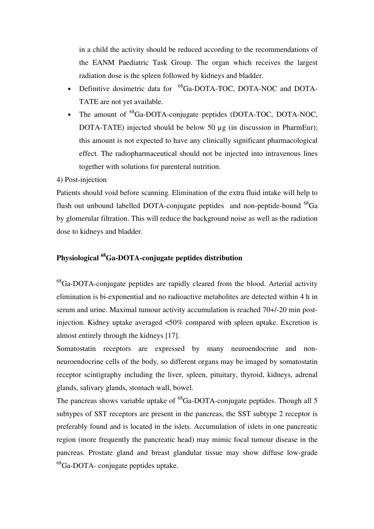in a child the activity should be reduced according to the recommendations of the EANM Paediatric Task Group. The organ which receives the largest radiation dose is the spleen followed by kidneys and bladder.

- Definitive dosimetric data for <sup>68</sup>Ga-DOTA-TOC, DOTA-NOC and DOTA-TATE are not yet available.
- The amount of <sup>68</sup>Ga-DOTA-conjugate peptides (DOTA-TOC, DOTA-NOC, DOTA-TATE) injected should be below 50 µg (in discussion in PharmEur); this amount is not expected to have any clinically significant pharmacological effect. The radiopharmaceutical should not be injected into intravenous lines together with solutions for parenteral nutrition.

### 4) Post-injection

Patients should void before scanning. Elimination of the extra fluid intake will help to flush out unbound labelled DOTA-conjugate peptides and non-peptide-bound  $^{68}Ga$ by glomerular filtration. This will reduce the background noise as well as the radiation dose to kidneys and bladder.

## **Physiological <sup>68</sup>Ga-DOTA-conjugate peptides distribution**

 $^{68}$ Ga-DOTA-conjugate peptides are rapidly cleared from the blood. Arterial activity elimination is bi-exponential and no radioactive metabolites are detected within 4 h in serum and urine. Maximal tumour activity accumulation is reached 70+/-20 min postinjection. Kidney uptake averaged <50% compared with spleen uptake. Excretion is almost entirely through the kidneys [17].

Somatostatin receptors are expressed by many neuroendocrine and nonneuroendocrine cells of the body, so different organs may be imaged by somatostatin receptor scintigraphy including the liver, spleen, pituitary, thyroid, kidneys, adrenal glands, salivary glands, stomach wall, bowel.

The pancreas shows variable uptake of  ${}^{68}Ga$ -DOTA-conjugate peptides. Though all 5 subtypes of SST receptors are present in the pancreas, the SST subtype 2 receptor is preferably found and is located in the islets. Accumulation of islets in one pancreatic region (more frequently the pancreatic head) may mimic focal tumour disease in the pancreas. Prostate gland and breast glandular tissue may show diffuse low-grade <sup>68</sup>Ga-DOTA- conjugate peptides uptake.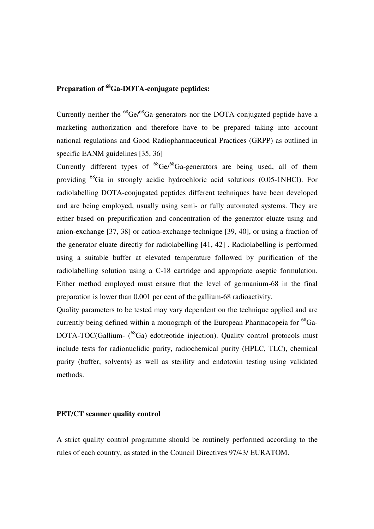## **Preparation of <sup>68</sup>Ga-DOTA-conjugate peptides:**

Currently neither the  ${}^{68}$ Ge/ ${}^{68}$ Ga-generators nor the DOTA-conjugated peptide have a marketing authorization and therefore have to be prepared taking into account national regulations and Good Radiopharmaceutical Practices (GRPP) as outlined in specific EANM guidelines [35, 36]

Currently different types of  ${}^{68}Ge^{68}Ga$ -generators are being used, all of them providing <sup>68</sup>Ga in strongly acidic hydrochloric acid solutions (0.05-1NHCl). For radiolabelling DOTA-conjugated peptides different techniques have been developed and are being employed, usually using semi- or fully automated systems. They are either based on prepurification and concentration of the generator eluate using and anion-exchange [37, 38] or cation-exchange technique [39, 40], or using a fraction of the generator eluate directly for radiolabelling [41, 42] . Radiolabelling is performed using a suitable buffer at elevated temperature followed by purification of the radiolabelling solution using a C-18 cartridge and appropriate aseptic formulation. Either method employed must ensure that the level of germanium-68 in the final preparation is lower than 0.001 per cent of the gallium-68 radioactivity.

Quality parameters to be tested may vary dependent on the technique applied and are currently being defined within a monograph of the European Pharmacopeia for  ${}^{68}Ga DOTA-TOC(Gallium-$  ( $^{68}Ga$ ) edotreotide injection). Quality control protocols must include tests for radionuclidic purity, radiochemical purity (HPLC, TLC), chemical purity (buffer, solvents) as well as sterility and endotoxin testing using validated methods.

### **PET/CT scanner quality control**

A strict quality control programme should be routinely performed according to the rules of each country, as stated in the Council Directives 97/43/ EURATOM.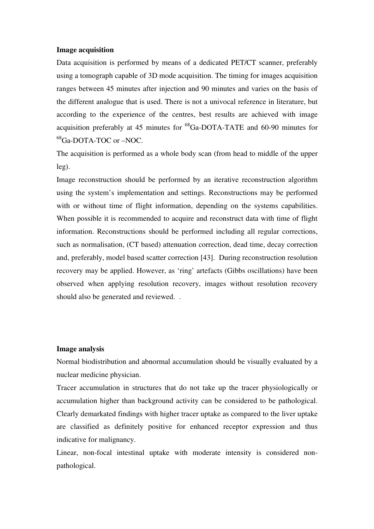### **Image acquisition**

Data acquisition is performed by means of a dedicated PET/CT scanner, preferably using a tomograph capable of 3D mode acquisition. The timing for images acquisition ranges between 45 minutes after injection and 90 minutes and varies on the basis of the different analogue that is used. There is not a univocal reference in literature, but according to the experience of the centres, best results are achieved with image acquisition preferably at 45 minutes for  ${}^{68}$ Ga-DOTA-TATE and 60-90 minutes for <sup>68</sup>Ga-DOTA-TOC or –NOC.

The acquisition is performed as a whole body scan (from head to middle of the upper leg).

Image reconstruction should be performed by an iterative reconstruction algorithm using the system's implementation and settings. Reconstructions may be performed with or without time of flight information, depending on the systems capabilities. When possible it is recommended to acquire and reconstruct data with time of flight information. Reconstructions should be performed including all regular corrections, such as normalisation, (CT based) attenuation correction, dead time, decay correction and, preferably, model based scatter correction [43]. During reconstruction resolution recovery may be applied. However, as 'ring' artefacts (Gibbs oscillations) have been observed when applying resolution recovery, images without resolution recovery should also be generated and reviewed. .

### **Image analysis**

Normal biodistribution and abnormal accumulation should be visually evaluated by a nuclear medicine physician.

Tracer accumulation in structures that do not take up the tracer physiologically or accumulation higher than background activity can be considered to be pathological. Clearly demarkated findings with higher tracer uptake as compared to the liver uptake are classified as definitely positive for enhanced receptor expression and thus indicative for malignancy.

Linear, non-focal intestinal uptake with moderate intensity is considered nonpathological.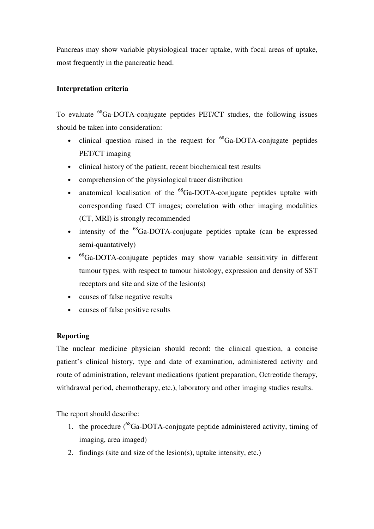Pancreas may show variable physiological tracer uptake, with focal areas of uptake, most frequently in the pancreatic head.

## **Interpretation criteria**

To evaluate <sup>68</sup>Ga-DOTA-conjugate peptides PET/CT studies, the following issues should be taken into consideration:

- clinical question raised in the request for  ${}^{68}$ Ga-DOTA-conjugate peptides PET/CT imaging
- clinical history of the patient, recent biochemical test results
- comprehension of the physiological tracer distribution
- anatomical localisation of the  ${}^{68}$ Ga-DOTA-conjugate peptides uptake with corresponding fused CT images; correlation with other imaging modalities (CT, MRI) is strongly recommended
- intensity of the  ${}^{68}Ga-DOTA$ -conjugate peptides uptake (can be expressed semi-quantatively)
- <sup>68</sup>Ga-DOTA-conjugate peptides may show variable sensitivity in different tumour types, with respect to tumour histology, expression and density of SST receptors and site and size of the lesion(s)
- causes of false negative results
- causes of false positive results

## **Reporting**

The nuclear medicine physician should record: the clinical question, a concise patient's clinical history, type and date of examination, administered activity and route of administration, relevant medications (patient preparation, Octreotide therapy, withdrawal period, chemotherapy, etc.), laboratory and other imaging studies results.

The report should describe:

- 1. the procedure  $\binom{68}{9}$ Ga-DOTA-conjugate peptide administered activity, timing of imaging, area imaged)
- 2. findings (site and size of the lesion(s), uptake intensity, etc.)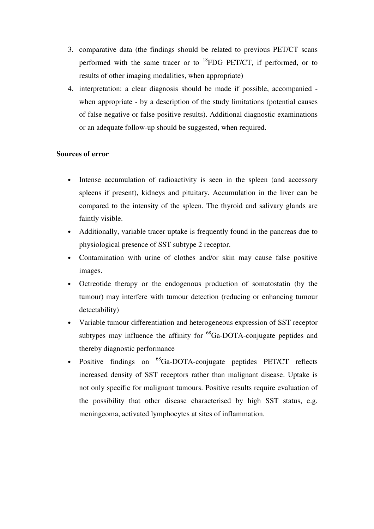- 3. comparative data (the findings should be related to previous PET/CT scans performed with the same tracer or to  $^{18}$ FDG PET/CT, if performed, or to results of other imaging modalities, when appropriate)
- 4. interpretation: a clear diagnosis should be made if possible, accompanied when appropriate - by a description of the study limitations (potential causes of false negative or false positive results). Additional diagnostic examinations or an adequate follow-up should be suggested, when required.

## **Sources of error**

- Intense accumulation of radioactivity is seen in the spleen (and accessory spleens if present), kidneys and pituitary. Accumulation in the liver can be compared to the intensity of the spleen. The thyroid and salivary glands are faintly visible.
- Additionally, variable tracer uptake is frequently found in the pancreas due to physiological presence of SST subtype 2 receptor.
- Contamination with urine of clothes and/or skin may cause false positive images.
- Octreotide therapy or the endogenous production of somatostatin (by the tumour) may interfere with tumour detection (reducing or enhancing tumour detectability)
- Variable tumour differentiation and heterogeneous expression of SST receptor subtypes may influence the affinity for  ${}^{68}Ga$ -DOTA-conjugate peptides and thereby diagnostic performance
- Positive findings on <sup>68</sup>Ga-DOTA-conjugate peptides PET/CT reflects increased density of SST receptors rather than malignant disease. Uptake is not only specific for malignant tumours. Positive results require evaluation of the possibility that other disease characterised by high SST status, e.g. meningeoma, activated lymphocytes at sites of inflammation.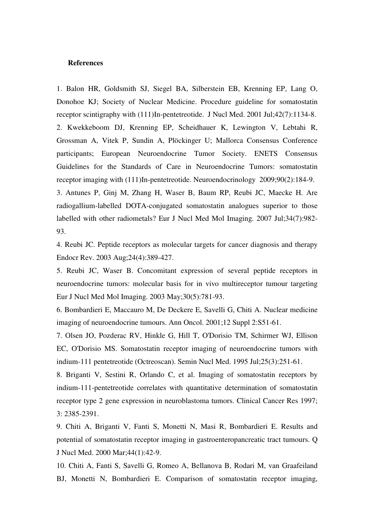### **References**

1. Balon HR, Goldsmith SJ, Siegel BA, Silberstein EB, Krenning EP, Lang O, Donohoe KJ; Society of Nuclear Medicine. Procedure guideline for somatostatin receptor scintigraphy with (111)In-pentetreotide. J Nucl Med. 2001 Jul;42(7):1134-8. 2. Kwekkeboom DJ, Krenning EP, Scheidhauer K, Lewington V, Lebtahi R, Grossman A, Vitek P, Sundin A, Plöckinger U; Mallorca Consensus Conference participants; European Neuroendocrine Tumor Society. ENETS Consensus Guidelines for the Standards of Care in Neuroendocrine Tumors: somatostatin receptor imaging with (111)In-pentetreotide. Neuroendocrinology 2009;90(2):184-9. 3. Antunes P, Ginj M, Zhang H, Waser B, Baum RP, Reubi JC, Maecke H. Are

radiogallium-labelled DOTA-conjugated somatostatin analogues superior to those labelled with other radiometals? Eur J Nucl Med Mol Imaging. 2007 Jul;34(7):982- 93.

4. Reubi JC. Peptide receptors as molecular targets for cancer diagnosis and therapy Endocr Rev. 2003 Aug;24(4):389-427.

5. Reubi JC, Waser B. Concomitant expression of several peptide receptors in neuroendocrine tumors: molecular basis for in vivo multireceptor tumour targeting Eur J Nucl Med Mol Imaging. 2003 May;30(5):781-93.

6. Bombardieri E, Maccauro M, De Deckere E, Savelli G, Chiti A. Nuclear medicine imaging of neuroendocrine tumours. Ann Oncol. 2001;12 Suppl 2:S51-61.

7. Olsen JO, Pozderac RV, Hinkle G, Hill T, O'Dorisio TM, Schirmer WJ, Ellison EC, O'Dorisio MS. Somatostatin receptor imaging of neuroendocrine tumors with indium-111 pentetreotide (Octreoscan). Semin Nucl Med. 1995 Jul;25(3):251-61.

8. Briganti V, Sestini R, Orlando C, et al. Imaging of somatostatin receptors by indium-111-pentetreotide correlates with quantitative determination of somatostatin receptor type 2 gene expression in neuroblastoma tumors. Clinical Cancer Res 1997; 3: 2385-2391.

9. Chiti A, Briganti V, Fanti S, Monetti N, Masi R, Bombardieri E. Results and potential of somatostatin receptor imaging in gastroenteropancreatic tract tumours. Q J Nucl Med. 2000 Mar;44(1):42-9.

10. Chiti A, Fanti S, Savelli G, Romeo A, Bellanova B, Rodari M, van Graafeiland BJ, Monetti N, Bombardieri E. Comparison of somatostatin receptor imaging,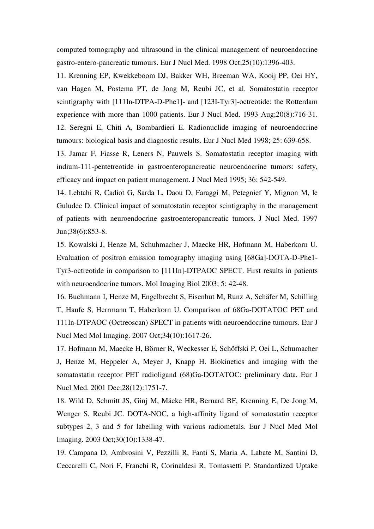computed tomography and ultrasound in the clinical management of neuroendocrine gastro-entero-pancreatic tumours. Eur J Nucl Med. 1998 Oct;25(10):1396-403.

11. Krenning EP, Kwekkeboom DJ, Bakker WH, Breeman WA, Kooij PP, Oei HY, van Hagen M, Postema PT, de Jong M, Reubi JC, et al. Somatostatin receptor scintigraphy with [111In-DTPA-D-Phe1]- and [123I-Tyr3]-octreotide: the Rotterdam experience with more than 1000 patients. Eur J Nucl Med. 1993 Aug;20(8):716-31. 12. Seregni E, Chiti A, Bombardieri E. Radionuclide imaging of neuroendocrine tumours: biological basis and diagnostic results. Eur J Nucl Med 1998; 25: 639-658.

13. Jamar F, Fiasse R, Leners N, Pauwels S. Somatostatin receptor imaging with indium-111-pentetreotide in gastroenteropancreatic neuroendocrine tumors: safety, efficacy and impact on patient management. J Nucl Med 1995; 36: 542-549.

14. Lebtahi R, Cadiot G, Sarda L, Daou D, Faraggi M, Petegnief Y, Mignon M, le Guludec D. Clinical impact of somatostatin receptor scintigraphy in the management of patients with neuroendocrine gastroenteropancreatic tumors. J Nucl Med. 1997 Jun;38(6):853-8.

15. Kowalski J, Henze M, Schuhmacher J, Maecke HR, Hofmann M, Haberkorn U. Evaluation of positron emission tomography imaging using [68Ga]-DOTA-D-Phe1- Tyr3-octreotide in comparison to [111In]-DTPAOC SPECT. First results in patients with neuroendocrine tumors. Mol Imaging Biol 2003; 5: 42-48.

16. Buchmann I, Henze M, Engelbrecht S, Eisenhut M, Runz A, Schäfer M, Schilling T, Haufe S, Herrmann T, Haberkorn U. Comparison of 68Ga-DOTATOC PET and 111In-DTPAOC (Octreoscan) SPECT in patients with neuroendocrine tumours. Eur J Nucl Med Mol Imaging. 2007 Oct;34(10):1617-26.

17. Hofmann M, Maecke H, Börner R, Weckesser E, Schöffski P, Oei L, Schumacher J, Henze M, Heppeler A, Meyer J, Knapp H. Biokinetics and imaging with the somatostatin receptor PET radioligand (68)Ga-DOTATOC: preliminary data. Eur J Nucl Med. 2001 Dec;28(12):1751-7.

18. Wild D, Schmitt JS, Ginj M, Mäcke HR, Bernard BF, Krenning E, De Jong M, Wenger S, Reubi JC. DOTA-NOC, a high-affinity ligand of somatostatin receptor subtypes 2, 3 and 5 for labelling with various radiometals. Eur J Nucl Med Mol Imaging. 2003 Oct;30(10):1338-47.

19. Campana D, Ambrosini V, Pezzilli R, Fanti S, Maria A, Labate M, Santini D, Ceccarelli C, Nori F, Franchi R, Corinaldesi R, Tomassetti P. Standardized Uptake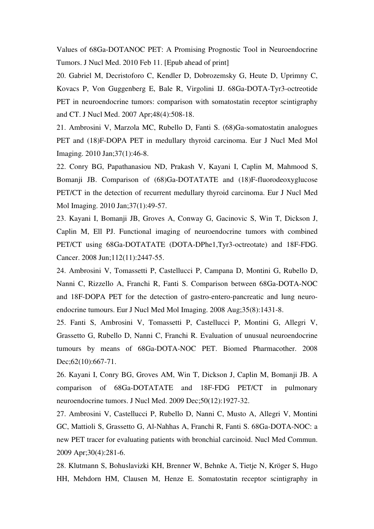Values of 68Ga-DOTANOC PET: A Promising Prognostic Tool in Neuroendocrine Tumors. J Nucl Med. 2010 Feb 11. [Epub ahead of print]

20. Gabriel M, Decristoforo C, Kendler D, Dobrozemsky G, Heute D, Uprimny C, Kovacs P, Von Guggenberg E, Bale R, Virgolini IJ. 68Ga-DOTA-Tyr3-octreotide PET in neuroendocrine tumors: comparison with somatostatin receptor scintigraphy and CT. J Nucl Med. 2007 Apr;48(4):508-18.

21. Ambrosini V, Marzola MC, Rubello D, Fanti S. (68)Ga-somatostatin analogues PET and (18)F-DOPA PET in medullary thyroid carcinoma. Eur J Nucl Med Mol Imaging. 2010 Jan;37(1):46-8.

22. Conry BG, Papathanasiou ND, Prakash V, Kayani I, Caplin M, Mahmood S, Bomanji JB. Comparison of (68)Ga-DOTATATE and (18)F-fluorodeoxyglucose PET/CT in the detection of recurrent medullary thyroid carcinoma. Eur J Nucl Med Mol Imaging. 2010 Jan;37(1):49-57.

23. Kayani I, Bomanji JB, Groves A, Conway G, Gacinovic S, Win T, Dickson J, Caplin M, Ell PJ. Functional imaging of neuroendocrine tumors with combined PET/CT using 68Ga-DOTATATE (DOTA-DPhe1,Tyr3-octreotate) and 18F-FDG. Cancer. 2008 Jun;112(11):2447-55.

24. Ambrosini V, Tomassetti P, Castellucci P, Campana D, Montini G, Rubello D, Nanni C, Rizzello A, Franchi R, Fanti S. Comparison between 68Ga-DOTA-NOC and 18F-DOPA PET for the detection of gastro-entero-pancreatic and lung neuroendocrine tumours. Eur J Nucl Med Mol Imaging. 2008 Aug;35(8):1431-8.

25. Fanti S, Ambrosini V, Tomassetti P, Castellucci P, Montini G, Allegri V, Grassetto G, Rubello D, Nanni C, Franchi R. Evaluation of unusual neuroendocrine tumours by means of 68Ga-DOTA-NOC PET. Biomed Pharmacother. 2008 Dec; 62(10): 667-71.

26. Kayani I, Conry BG, Groves AM, Win T, Dickson J, Caplin M, Bomanji JB. A comparison of 68Ga-DOTATATE and 18F-FDG PET/CT in pulmonary neuroendocrine tumors. J Nucl Med. 2009 Dec;50(12):1927-32.

27. Ambrosini V, Castellucci P, Rubello D, Nanni C, Musto A, Allegri V, Montini GC, Mattioli S, Grassetto G, Al-Nahhas A, Franchi R, Fanti S. 68Ga-DOTA-NOC: a new PET tracer for evaluating patients with bronchial carcinoid. Nucl Med Commun. 2009 Apr;30(4):281-6.

28. Klutmann S, Bohuslavizki KH, Brenner W, Behnke A, Tietje N, Kröger S, Hugo HH, Mehdorn HM, Clausen M, Henze E. Somatostatin receptor scintigraphy in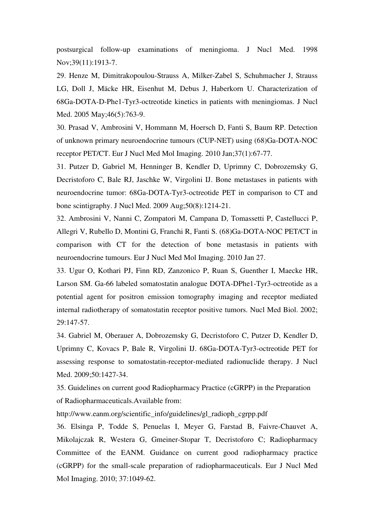postsurgical follow-up examinations of meningioma. J Nucl Med. 1998 Nov;39(11):1913-7.

29. Henze M, Dimitrakopoulou-Strauss A, Milker-Zabel S, Schuhmacher J, Strauss LG, Doll J, Mäcke HR, Eisenhut M, Debus J, Haberkorn U. Characterization of 68Ga-DOTA-D-Phe1-Tyr3-octreotide kinetics in patients with meningiomas. J Nucl Med. 2005 May;46(5):763-9.

30. Prasad V, Ambrosini V, Hommann M, Hoersch D, Fanti S, Baum RP. Detection of unknown primary neuroendocrine tumours (CUP-NET) using (68)Ga-DOTA-NOC receptor PET/CT. Eur J Nucl Med Mol Imaging. 2010 Jan;37(1):67-77.

31. Putzer D, Gabriel M, Henninger B, Kendler D, Uprimny C, Dobrozemsky G, Decristoforo C, Bale RJ, Jaschke W, Virgolini IJ. Bone metastases in patients with neuroendocrine tumor: 68Ga-DOTA-Tyr3-octreotide PET in comparison to CT and bone scintigraphy. J Nucl Med. 2009 Aug;50(8):1214-21.

32. Ambrosini V, Nanni C, Zompatori M, Campana D, Tomassetti P, Castellucci P, Allegri V, Rubello D, Montini G, Franchi R, Fanti S. (68)Ga-DOTA-NOC PET/CT in comparison with CT for the detection of bone metastasis in patients with neuroendocrine tumours. Eur J Nucl Med Mol Imaging. 2010 Jan 27.

33. Ugur O, Kothari PJ, Finn RD, Zanzonico P, Ruan S, Guenther I, Maecke HR, Larson SM. Ga-66 labeled somatostatin analogue DOTA-DPhe1-Tyr3-octreotide as a potential agent for positron emission tomography imaging and receptor mediated internal radiotherapy of somatostatin receptor positive tumors. Nucl Med Biol. 2002; 29:147-57.

34. Gabriel M, Oberauer A, Dobrozemsky G, Decristoforo C, Putzer D, Kendler D, Uprimny C, Kovacs P, Bale R, Virgolini IJ. 68Ga-DOTA-Tyr3-octreotide PET for assessing response to somatostatin-receptor-mediated radionuclide therapy. J Nucl Med. 2009;50:1427-34.

35. Guidelines on current good Radiopharmacy Practice (cGRPP) in the Preparation of Radiopharmaceuticals.Available from:

http://www.eanm.org/scientific\_info/guidelines/gl\_radioph\_cgrpp.pdf

36. Elsinga P, Todde S, Penuelas I, Meyer G, Farstad B, Faivre-Chauvet A, Mikolajczak R, Westera G, Gmeiner-Stopar T, Decristoforo C; Radiopharmacy Committee of the EANM. Guidance on current good radiopharmacy practice (cGRPP) for the small-scale preparation of radiopharmaceuticals. Eur J Nucl Med Mol Imaging. 2010; 37:1049-62.